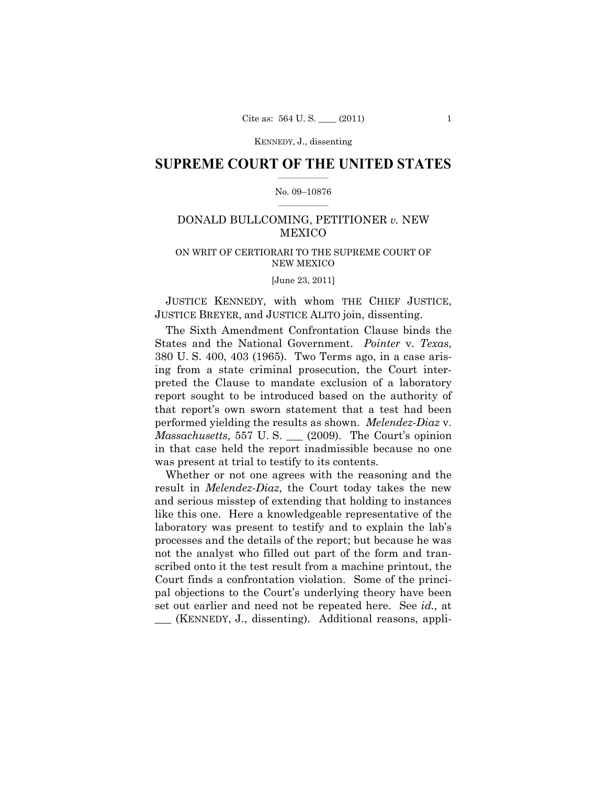### **SUPREME COURT OF THE UNITED STATES**  $\frac{1}{2}$  ,  $\frac{1}{2}$  ,  $\frac{1}{2}$  ,  $\frac{1}{2}$  ,  $\frac{1}{2}$  ,  $\frac{1}{2}$  ,  $\frac{1}{2}$

### No. 09–10876  $\frac{1}{2}$  ,  $\frac{1}{2}$  ,  $\frac{1}{2}$  ,  $\frac{1}{2}$  ,  $\frac{1}{2}$  ,  $\frac{1}{2}$

# DONALD BULLCOMING, PETITIONER *v.* NEW MEXICO

## ON WRIT OF CERTIORARI TO THE SUPREME COURT OF NEW MEXICO

[June 23, 2011]

 JUSTICE KENNEDY, with whom THE CHIEF JUSTICE, JUSTICE BREYER, and JUSTICE ALITO join, dissenting.

 The Sixth Amendment Confrontation Clause binds the States and the National Government. *Pointer* v. *Texas*, 380 U. S. 400, 403 (1965). Two Terms ago, in a case arising from a state criminal prosecution, the Court interpreted the Clause to mandate exclusion of a laboratory report sought to be introduced based on the authority of that report's own sworn statement that a test had been performed yielding the results as shown. *Melendez-Diaz* v. *Massachusetts*, 557 U. S. \_\_\_ (2009). The Court's opinion in that case held the report inadmissible because no one was present at trial to testify to its contents.

 Whether or not one agrees with the reasoning and the result in *Melendez-Diaz*, the Court today takes the new and serious misstep of extending that holding to instances like this one. Here a knowledgeable representative of the laboratory was present to testify and to explain the lab's processes and the details of the report; but because he was not the analyst who filled out part of the form and transcribed onto it the test result from a machine printout, the Court finds a confrontation violation. Some of the principal objections to the Court's underlying theory have been set out earlier and need not be repeated here. See *id.,* at *\_\_\_* (KENNEDY, J., dissenting). Additional reasons, appli-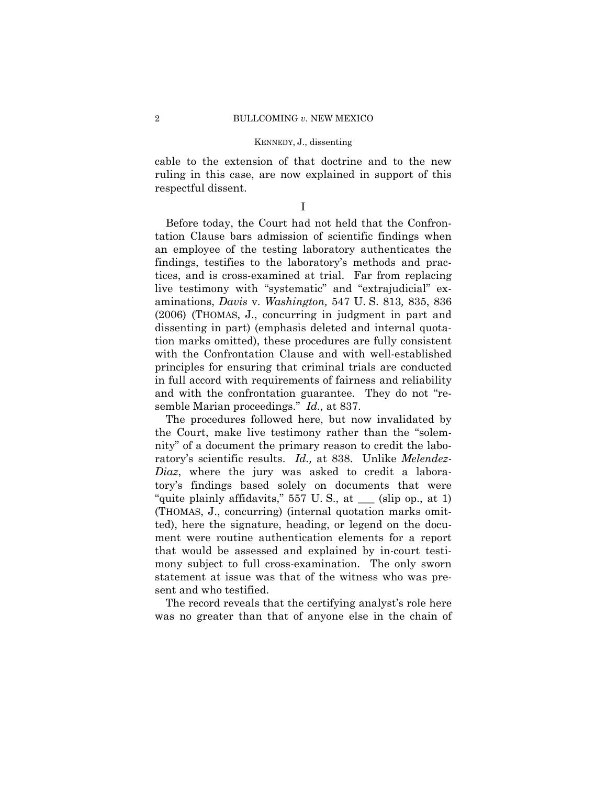cable to the extension of that doctrine and to the new ruling in this case, are now explained in support of this respectful dissent.

I

 Before today, the Court had not held that the Confrontation Clause bars admission of scientific findings when an employee of the testing laboratory authenticates the findings, testifies to the laboratory's methods and practices, and is cross-examined at trial. Far from replacing live testimony with "systematic" and "extrajudicial" examinations, *Davis* v. *Washington,* 547 U. S. 813*,* 835, 836 (2006) (THOMAS, J., concurring in judgment in part and dissenting in part) (emphasis deleted and internal quotation marks omitted), these procedures are fully consistent with the Confrontation Clause and with well-established principles for ensuring that criminal trials are conducted in full accord with requirements of fairness and reliability and with the confrontation guarantee. They do not "resemble Marian proceedings." *Id.,* at 837.

 The procedures followed here, but now invalidated by the Court, make live testimony rather than the "solemnity" of a document the primary reason to credit the laboratory's scientific results. *Id.,* at 838. Unlike *Melendez-Diaz*, where the jury was asked to credit a laboratory's findings based solely on documents that were "quite plainly affidavits,"  $557 \text{ U.S.}$ , at  $\_\_\_\_\_\_\_\_\_\_\_\_\_\_\_\_\$ . at 1) (THOMAS, J., concurring) (internal quotation marks omitted), here the signature, heading, or legend on the document were routine authentication elements for a report that would be assessed and explained by in-court testimony subject to full cross-examination. The only sworn statement at issue was that of the witness who was present and who testified.

 The record reveals that the certifying analyst's role here was no greater than that of anyone else in the chain of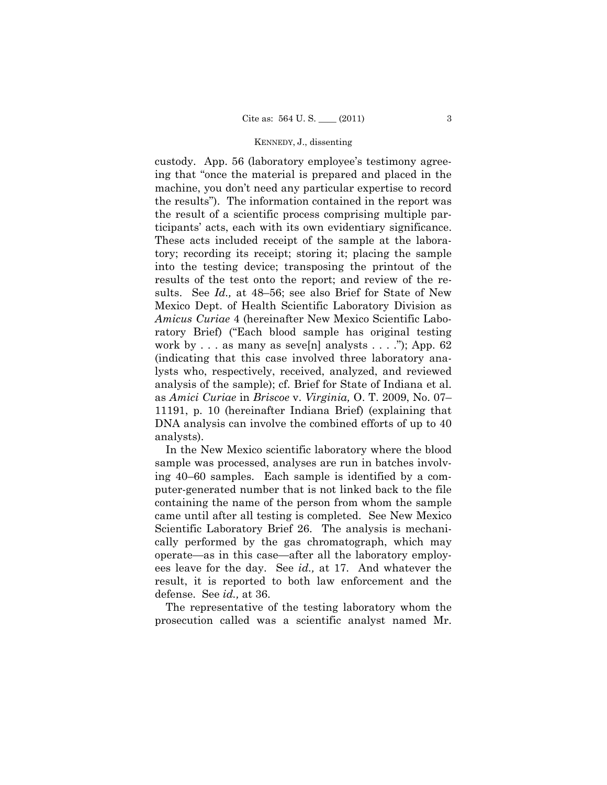custody. App. 56 (laboratory employee's testimony agreeing that "once the material is prepared and placed in the machine, you don't need any particular expertise to record the results"). The information contained in the report was the result of a scientific process comprising multiple participants' acts, each with its own evidentiary significance. These acts included receipt of the sample at the laboratory; recording its receipt; storing it; placing the sample into the testing device; transposing the printout of the results of the test onto the report; and review of the results. See *Id.,* at 48–56; see also Brief for State of New Mexico Dept. of Health Scientific Laboratory Division as *Amicus Curiae* 4 (hereinafter New Mexico Scientific Laboratory Brief) ("Each blood sample has original testing work by  $\ldots$  as many as seve[n] analysts  $\ldots$  ."); App. 62 (indicating that this case involved three laboratory analysts who, respectively, received, analyzed, and reviewed analysis of the sample); cf. Brief for State of Indiana et al. as *Amici Curiae* in *Briscoe* v. *Virginia,* O. T. 2009, No. 07– 11191, p. 10 (hereinafter Indiana Brief) (explaining that DNA analysis can involve the combined efforts of up to 40 analysts).

 In the New Mexico scientific laboratory where the blood sample was processed, analyses are run in batches involving 40–60 samples. Each sample is identified by a computer-generated number that is not linked back to the file containing the name of the person from whom the sample came until after all testing is completed. See New Mexico Scientific Laboratory Brief 26. The analysis is mechanically performed by the gas chromatograph, which may operate—as in this case—after all the laboratory employees leave for the day. See *id.,* at 17. And whatever the result, it is reported to both law enforcement and the defense. See *id.,* at 36.

 The representative of the testing laboratory whom the prosecution called was a scientific analyst named Mr.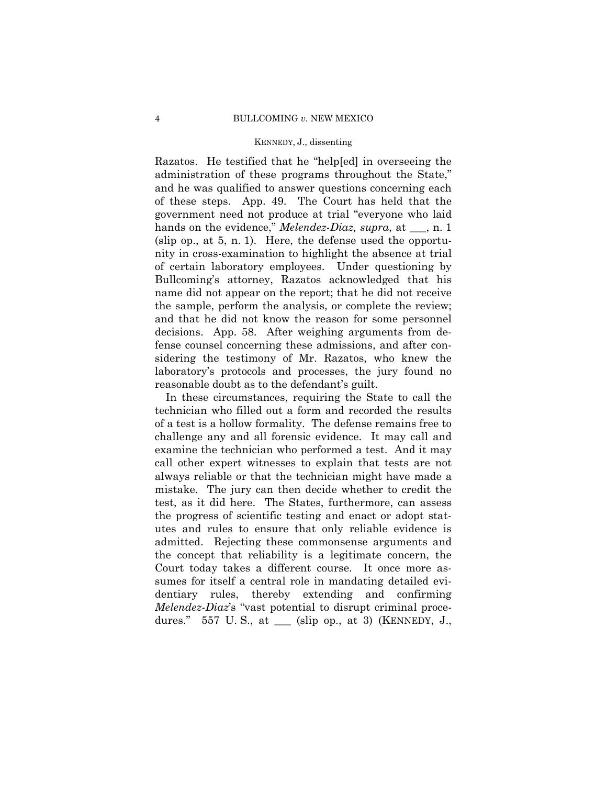Razatos. He testified that he "help[ed] in overseeing the administration of these programs throughout the State," and he was qualified to answer questions concerning each of these steps. App. 49. The Court has held that the government need not produce at trial "everyone who laid hands on the evidence," *Melendez-Diaz, supra*, at <sub>\_\_\_</sub>, n. 1 (slip op., at 5, n. 1). Here, the defense used the opportunity in cross-examination to highlight the absence at trial of certain laboratory employees. Under questioning by Bullcoming's attorney, Razatos acknowledged that his name did not appear on the report; that he did not receive the sample, perform the analysis, or complete the review; and that he did not know the reason for some personnel decisions. App. 58. After weighing arguments from defense counsel concerning these admissions, and after considering the testimony of Mr. Razatos, who knew the laboratory's protocols and processes, the jury found no reasonable doubt as to the defendant's guilt.

 In these circumstances, requiring the State to call the technician who filled out a form and recorded the results of a test is a hollow formality. The defense remains free to challenge any and all forensic evidence. It may call and examine the technician who performed a test. And it may call other expert witnesses to explain that tests are not always reliable or that the technician might have made a mistake. The jury can then decide whether to credit the test, as it did here. The States, furthermore, can assess the progress of scientific testing and enact or adopt statutes and rules to ensure that only reliable evidence is admitted. Rejecting these commonsense arguments and the concept that reliability is a legitimate concern, the Court today takes a different course. It once more assumes for itself a central role in mandating detailed evidentiary rules, thereby extending and confirming *Melendez-Diaz*'s "vast potential to disrupt criminal procedures." 557 U. S., at \_\_\_ (slip op., at 3) (KENNEDY, J.,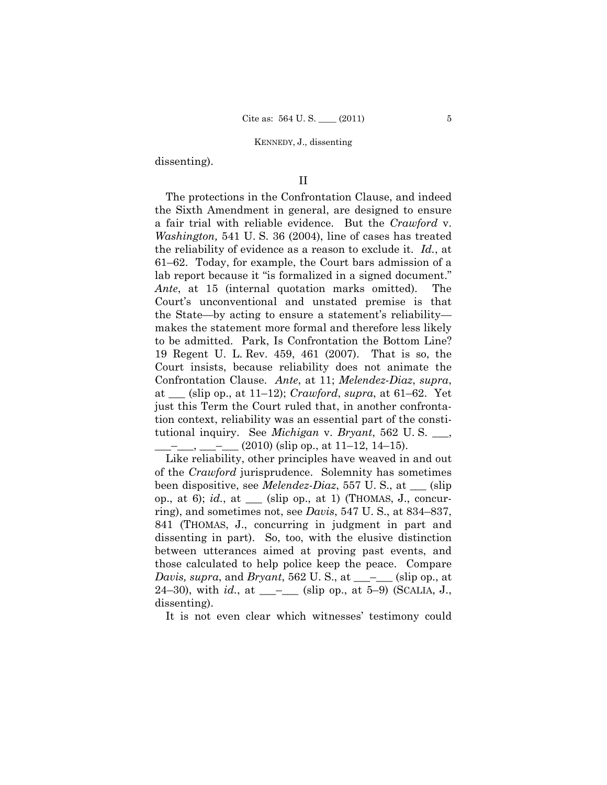dissenting).

# II

 The protections in the Confrontation Clause, and indeed the Sixth Amendment in general, are designed to ensure a fair trial with reliable evidence. But the *Crawford* v. *Washington,* 541 U. S. 36 (2004), line of cases has treated the reliability of evidence as a reason to exclude it. *Id.*, at 61–62. Today, for example, the Court bars admission of a lab report because it "is formalized in a signed document." *Ante*, at 15 (internal quotation marks omitted). The Court's unconventional and unstated premise is that the State—by acting to ensure a statement's reliability makes the statement more formal and therefore less likely to be admitted. Park, Is Confrontation the Bottom Line? 19 Regent U. L. Rev. 459, 461 (2007). That is so, the Court insists, because reliability does not animate the Confrontation Clause. *Ante*, at 11; *Melendez-Diaz*, *supra*, at \_\_\_ (slip op., at 11–12); *Crawford*, *supra*, at 61–62. Yet just this Term the Court ruled that, in another confrontation context, reliability was an essential part of the constitutional inquiry. See *Michigan* v. *Bryant*, 562 U. S. \_\_\_,  $_{\text{-}}$ ,  $_{\text{-}}$   $_{\text{-}}$   $\frac{(2010)}{(\text{slip op.}, \text{at } 11-12, 14-15)}$ .

 Like reliability, other principles have weaved in and out of the *Crawford* jurisprudence. Solemnity has sometimes been dispositive, see *Melendez-Diaz*, 557 U. S., at \_\_\_ (slip op., at 6); *id.*, at  $\Box$  (slip op., at 1) (THOMAS, J., concurring), and sometimes not, see *Davis*, 547 U. S., at 834–837, 841 (THOMAS, J., concurring in judgment in part and dissenting in part). So, too, with the elusive distinction between utterances aimed at proving past events, and those calculated to help police keep the peace. Compare *Davis, supra*, and *Bryant*, 562 U. S., at \_\_\_–\_\_\_ (slip op., at 24–30), with *id.*, at  $\_\_$ – $\_\_$  (slip op., at 5–9) (SCALIA, J., dissenting).

It is not even clear which witnesses' testimony could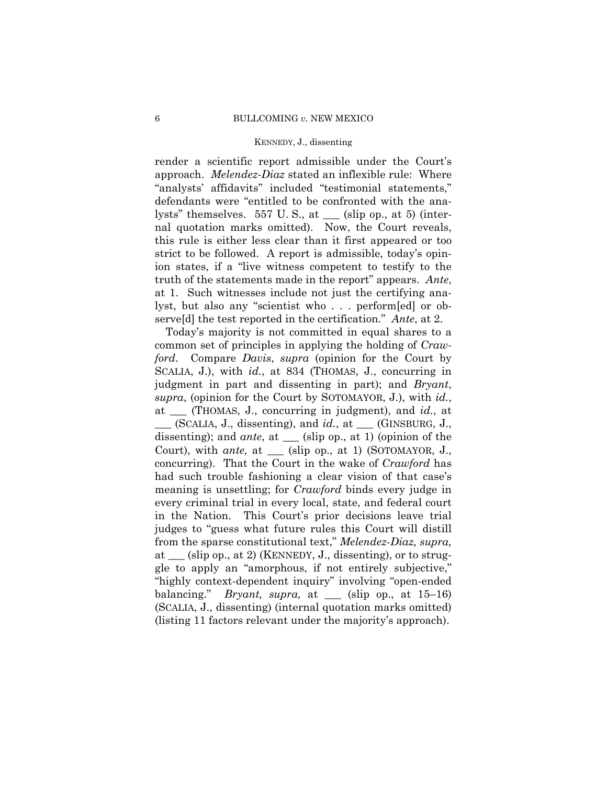render a scientific report admissible under the Court's approach. *Melendez-Diaz* stated an inflexible rule: Where "analysts' affidavits" included "testimonial statements," defendants were "entitled to be confronted with the analysts" themselves. 557 U. S., at \_\_\_ (slip op., at 5) (internal quotation marks omitted). Now, the Court reveals, this rule is either less clear than it first appeared or too strict to be followed. A report is admissible, today's opinion states, if a "live witness competent to testify to the truth of the statements made in the report" appears. *Ante*, at 1. Such witnesses include not just the certifying analyst, but also any "scientist who . . . perform[ed] or observe[d] the test reported in the certification." *Ante*, at 2.

 Today's majority is not committed in equal shares to a common set of principles in applying the holding of *Crawford*. Compare *Davis*, *supra* (opinion for the Court by SCALIA, J.), with *id.*, at 834 (THOMAS, J., concurring in judgment in part and dissenting in part); and *Bryant*, *supra*, (opinion for the Court by SOTOMAYOR, J.), with *id.*, at \_\_\_ (THOMAS, J., concurring in judgment), and *id.*, at \_\_\_ (SCALIA, J., dissenting), and *id.*, at \_\_\_ (GINSBURG, J., dissenting); and *ante*, at  $\_\_$  (slip op., at 1) (opinion of the Court), with *ante,* at \_\_\_ (slip op., at 1) (SOTOMAYOR, J., concurring). That the Court in the wake of *Crawford* has had such trouble fashioning a clear vision of that case's meaning is unsettling; for *Crawford* binds every judge in every criminal trial in every local, state, and federal court in the Nation. This Court's prior decisions leave trial judges to "guess what future rules this Court will distill from the sparse constitutional text," *Melendez-Diaz, supra,* at \_\_\_ (slip op., at 2) (KENNEDY, J., dissenting), or to struggle to apply an "amorphous, if not entirely subjective," "highly context-dependent inquiry" involving "open-ended balancing." *Bryant, supra,* at \_\_\_ (slip op., at 15–16) (SCALIA, J., dissenting) (internal quotation marks omitted) (listing 11 factors relevant under the majority's approach).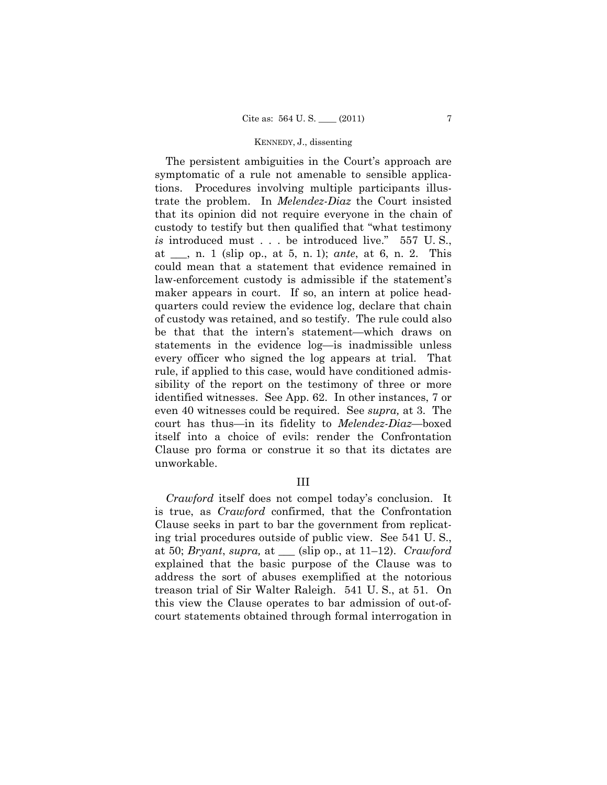The persistent ambiguities in the Court's approach are symptomatic of a rule not amenable to sensible applications. Procedures involving multiple participants illustrate the problem. In *Melendez-Diaz* the Court insisted that its opinion did not require everyone in the chain of custody to testify but then qualified that "what testimony *is* introduced must . . . be introduced live." 557 U. S., at \_\_\_, n. 1 (slip op., at 5, n. 1); *ante*, at 6, n. 2. This could mean that a statement that evidence remained in law-enforcement custody is admissible if the statement's maker appears in court. If so, an intern at police headquarters could review the evidence log, declare that chain of custody was retained, and so testify. The rule could also be that that the intern's statement—which draws on statements in the evidence log—is inadmissible unless every officer who signed the log appears at trial. That rule, if applied to this case, would have conditioned admissibility of the report on the testimony of three or more identified witnesses. See App. 62. In other instances, 7 or even 40 witnesses could be required. See *supra,* at 3. The court has thus—in its fidelity to *Melendez-Diaz*—boxed itself into a choice of evils: render the Confrontation Clause pro forma or construe it so that its dictates are unworkable.

## III

*Crawford* itself does not compel today's conclusion. It is true, as *Crawford* confirmed, that the Confrontation Clause seeks in part to bar the government from replicating trial procedures outside of public view. See 541 U. S., at 50; *Bryant*, *supra,* at \_\_\_ (slip op., at 11–12). *Crawford*  explained that the basic purpose of the Clause was to address the sort of abuses exemplified at the notorious treason trial of Sir Walter Raleigh. 541 U. S., at 51. On this view the Clause operates to bar admission of out-ofcourt statements obtained through formal interrogation in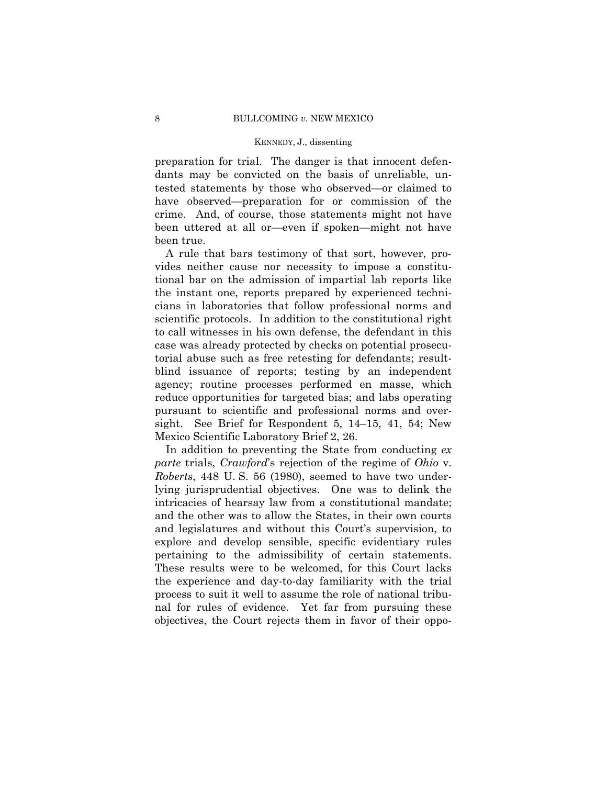preparation for trial. The danger is that innocent defendants may be convicted on the basis of unreliable, untested statements by those who observed—or claimed to have observed—preparation for or commission of the crime. And, of course, those statements might not have been uttered at all or—even if spoken—might not have been true.

 A rule that bars testimony of that sort, however, provides neither cause nor necessity to impose a constitutional bar on the admission of impartial lab reports like the instant one, reports prepared by experienced technicians in laboratories that follow professional norms and scientific protocols. In addition to the constitutional right to call witnesses in his own defense, the defendant in this case was already protected by checks on potential prosecutorial abuse such as free retesting for defendants; resultblind issuance of reports; testing by an independent agency; routine processes performed en masse, which reduce opportunities for targeted bias; and labs operating pursuant to scientific and professional norms and oversight. See Brief for Respondent 5, 14–15, 41, 54; New Mexico Scientific Laboratory Brief 2, 26.

 In addition to preventing the State from conducting *ex parte* trials, *Crawford*'s rejection of the regime of *Ohio* v. *Roberts*, 448 U. S. 56 (1980), seemed to have two underlying jurisprudential objectives. One was to delink the intricacies of hearsay law from a constitutional mandate; and the other was to allow the States, in their own courts and legislatures and without this Court's supervision, to explore and develop sensible, specific evidentiary rules pertaining to the admissibility of certain statements. These results were to be welcomed, for this Court lacks the experience and day-to-day familiarity with the trial process to suit it well to assume the role of national tribunal for rules of evidence. Yet far from pursuing these objectives, the Court rejects them in favor of their oppo-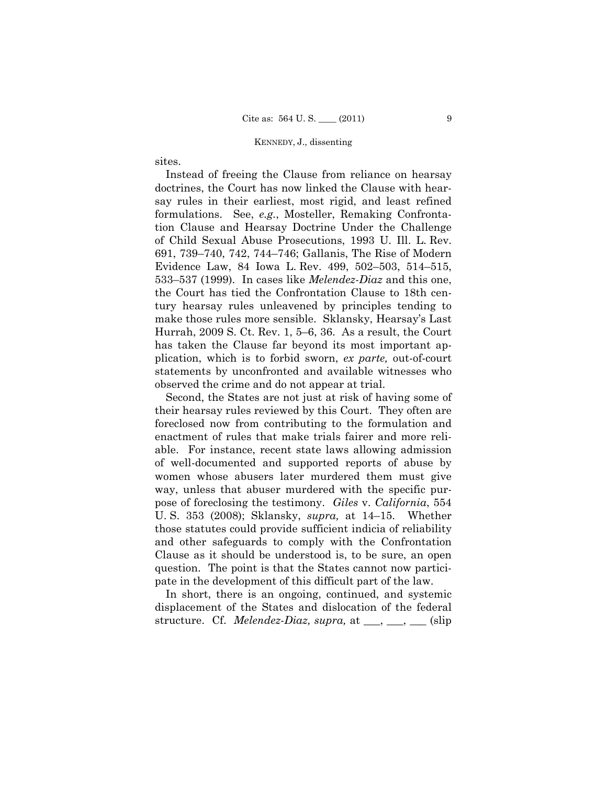sites.

 Instead of freeing the Clause from reliance on hearsay doctrines, the Court has now linked the Clause with hearsay rules in their earliest, most rigid, and least refined formulations. See, *e.g.*, Mosteller, Remaking Confrontation Clause and Hearsay Doctrine Under the Challenge of Child Sexual Abuse Prosecutions, 1993 U. Ill. L. Rev. 691, 739–740, 742, 744–746; Gallanis, The Rise of Modern Evidence Law, 84 Iowa L. Rev. 499, 502–503, 514–515, 533–537 (1999). In cases like *Melendez-Diaz* and this one, the Court has tied the Confrontation Clause to 18th century hearsay rules unleavened by principles tending to make those rules more sensible. Sklansky, Hearsay's Last Hurrah, 2009 S. Ct. Rev. 1, 5–6, 36. As a result, the Court has taken the Clause far beyond its most important application, which is to forbid sworn, *ex parte,* out-of-court statements by unconfronted and available witnesses who observed the crime and do not appear at trial.

 Second, the States are not just at risk of having some of their hearsay rules reviewed by this Court. They often are foreclosed now from contributing to the formulation and enactment of rules that make trials fairer and more reliable. For instance, recent state laws allowing admission of well-documented and supported reports of abuse by women whose abusers later murdered them must give way, unless that abuser murdered with the specific purpose of foreclosing the testimony. *Giles* v. *California*, 554 U. S. 353 (2008); Sklansky, *supra,* at 14–15. Whether those statutes could provide sufficient indicia of reliability and other safeguards to comply with the Confrontation Clause as it should be understood is, to be sure, an open question. The point is that the States cannot now participate in the development of this difficult part of the law.

 In short, there is an ongoing, continued, and systemic displacement of the States and dislocation of the federal structure. Cf. *Melendez-Diaz, supra,* at \_\_\_, \_\_\_, \_\_\_ (slip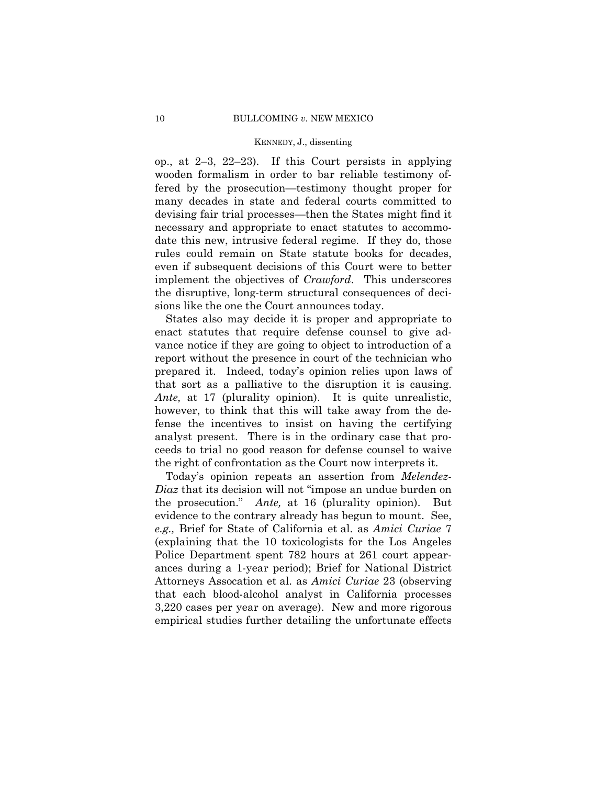op., at 2–3, 22–23). If this Court persists in applying wooden formalism in order to bar reliable testimony offered by the prosecution—testimony thought proper for many decades in state and federal courts committed to devising fair trial processes—then the States might find it necessary and appropriate to enact statutes to accommodate this new, intrusive federal regime. If they do, those rules could remain on State statute books for decades, even if subsequent decisions of this Court were to better implement the objectives of *Crawford*. This underscores the disruptive, long-term structural consequences of decisions like the one the Court announces today.

 States also may decide it is proper and appropriate to enact statutes that require defense counsel to give advance notice if they are going to object to introduction of a report without the presence in court of the technician who prepared it. Indeed, today's opinion relies upon laws of that sort as a palliative to the disruption it is causing. *Ante,* at 17 (plurality opinion). It is quite unrealistic, however, to think that this will take away from the defense the incentives to insist on having the certifying analyst present. There is in the ordinary case that proceeds to trial no good reason for defense counsel to waive the right of confrontation as the Court now interprets it.

 Today's opinion repeats an assertion from *Melendez-Diaz* that its decision will not "impose an undue burden on the prosecution." *Ante,* at 16 (plurality opinion). But evidence to the contrary already has begun to mount. See, *e.g.,* Brief for State of California et al. as *Amici Curiae* 7 (explaining that the 10 toxicologists for the Los Angeles Police Department spent 782 hours at 261 court appearances during a 1-year period); Brief for National District Attorneys Assocation et al. as *Amici Curiae* 23 (observing that each blood-alcohol analyst in California processes 3,220 cases per year on average). New and more rigorous empirical studies further detailing the unfortunate effects